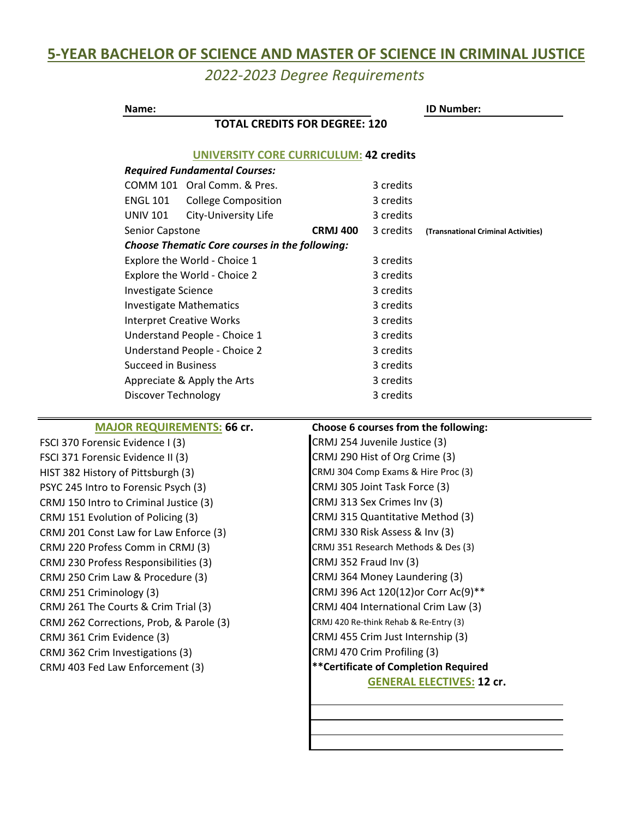# **5-YEAR BACHELOR OF SCIENCE AND MASTER OF SCIENCE IN CRIMINAL JUSTICE**

*2022-2023 Degree Requirements*

| Name:                                                 |                                               |                 |           | <b>ID Number:</b>                   |  |
|-------------------------------------------------------|-----------------------------------------------|-----------------|-----------|-------------------------------------|--|
| <b>TOTAL CREDITS FOR DEGREE: 120</b>                  |                                               |                 |           |                                     |  |
|                                                       | <b>UNIVERSITY CORE CURRICULUM: 42 credits</b> |                 |           |                                     |  |
| <b>Required Fundamental Courses:</b>                  |                                               |                 |           |                                     |  |
|                                                       | COMM 101 Oral Comm. & Pres.                   |                 | 3 credits |                                     |  |
| <b>ENGL 101</b>                                       | <b>College Composition</b>                    |                 | 3 credits |                                     |  |
| <b>UNIV 101</b>                                       | City-University Life                          |                 | 3 credits |                                     |  |
| Senior Capstone                                       |                                               | <b>CRMJ 400</b> | 3 credits | (Transnational Criminal Activities) |  |
| <b>Choose Thematic Core courses in the following:</b> |                                               |                 |           |                                     |  |
|                                                       | Explore the World - Choice 1                  |                 | 3 credits |                                     |  |
|                                                       | Explore the World - Choice 2                  |                 | 3 credits |                                     |  |
| <b>Investigate Science</b>                            |                                               | 3 credits       |           |                                     |  |
| <b>Investigate Mathematics</b>                        |                                               | 3 credits       |           |                                     |  |
| <b>Interpret Creative Works</b>                       |                                               | 3 credits       |           |                                     |  |
| Understand People - Choice 1                          |                                               | 3 credits       |           |                                     |  |
| Understand People - Choice 2                          |                                               | 3 credits       |           |                                     |  |
| <b>Succeed in Business</b>                            |                                               | 3 credits       |           |                                     |  |
| Appreciate & Apply the Arts                           |                                               | 3 credits       |           |                                     |  |
| Discover Technology                                   |                                               | 3 credits       |           |                                     |  |
|                                                       |                                               |                 |           |                                     |  |

CRMJ 201 Const Law for Law Enforce (3) CRMJ 262 Corrections, Prob, & Parole (3) CRMJ 250 Crim Law & Procedure (3) CRMJ 251 Criminology (3) CRMJ 261 The Courts & Crim Trial (3) CRMJ 220 Profess Comm in CRMJ (3) CRMJ 230 Profess Responsibilities (3) FSCI 371 Forensic Evidence II (3) HIST 382 History of Pittsburgh (3) PSYC 245 Intro to Forensic Psych (3) CRMJ 150 Intro to Criminal Justice (3) CRMJ 151 Evolution of Policing (3) FSCI 370 Forensic Evidence I (3) CRMJ 254 Juvenile Justice (3) CRMJ 361 Crim Evidence (3) CRMJ 455 Crim Just Internship (3) CRMJ 362 Crim Investigations (3) CRMJ 403 Fed Law Enforcement (3)

#### **MAJOR REQUIREMENTS: 66 cr. Choose 6 courses from the following:**

CRMJ 330 Risk Assess & Inv (3) CRMJ 351 Research Methods & Des (3) CRMJ 352 Fraud Inv (3) CRMJ 290 Hist of Org Crime (3) CRMJ 305 Joint Task Force (3) CRMJ 313 Sex Crimes Inv (3) CRMJ 315 Quantitative Method (3) CRMJ 404 International Crim Law (3) CRMJ 364 Money Laundering (3) CRMJ 396 Act 120(12)or Corr Ac(9)\*\* CRMJ 420 Re-think Rehab & Re-Entry (3) CRMJ 470 Crim Profiling (3) **\*\*Certificate of Completion Required GENERAL ELECTIVES: 12 cr.** CRMJ 304 Comp Exams & Hire Proc (3)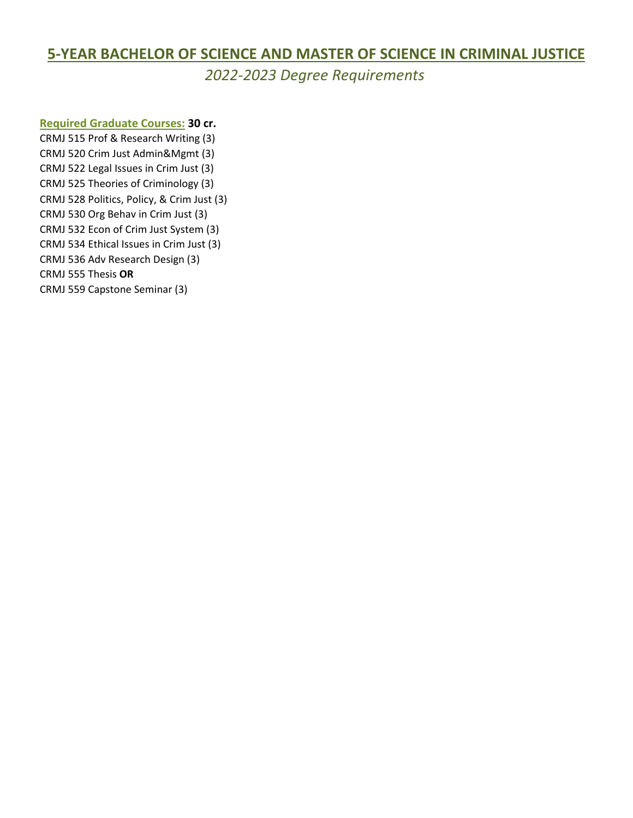## **5-YEAR BACHELOR OF SCIENCE AND MASTER OF SCIENCE IN CRIMINAL JUSTICE**

*2022-2023 Degree Requirements*

#### **Required Graduate Courses: 30 cr.**

CRMJ 515 Prof & Research Writing (3) CRMJ 520 Crim Just Admin&Mgmt (3) CRMJ 534 Ethical Issues in Crim Just (3) CRMJ 536 Adv Research Design (3) CRMJ 522 Legal Issues in Crim Just (3) CRMJ 525 Theories of Criminology (3) CRMJ 528 Politics, Policy, & Crim Just (3) CRMJ 530 Org Behav in Crim Just (3) CRMJ 532 Econ of Crim Just System (3)

CRMJ 555 Thesis **OR**

CRMJ 559 Capstone Seminar (3)